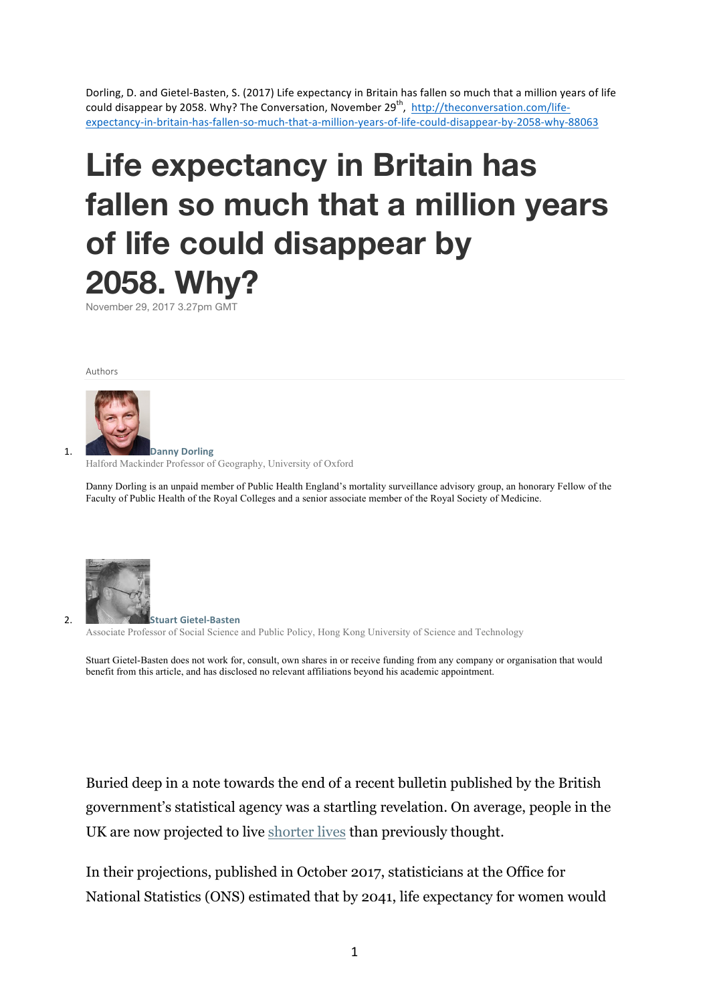Dorling, D. and Gietel-Basten, S. (2017) Life expectancy in Britain has fallen so much that a million years of life could disappear by 2058. Why? The Conversation, November 29<sup>th</sup>, http://theconversation.com/lifeexpectancy-in-britain-has-fallen-so-much-that-a-million-years-of-life-could-disappear-by-2058-why-88063

# **Life expectancy in Britain has fallen so much that a million years of life could disappear by 2058. Why?**

November 29, 2017 3.27pm GMT

Authors



Halford Mackinder Professor of Geography, University of Oxford

Danny Dorling is an unpaid member of Public Health England's mortality surveillance advisory group, an honorary Fellow of the Faculty of Public Health of the Royal Colleges and a senior associate member of the Royal Society of Medicine.



2. **Stuart Gietel-Basten** Associate Professor of Social Science and Public Policy, Hong Kong University of Science and Technology

Stuart Gietel-Basten does not work for, consult, own shares in or receive funding from any company or organisation that would benefit from this article, and has disclosed no relevant affiliations beyond his academic appointment.

Buried deep in a note towards the end of a recent bulletin published by the British government's statistical agency was a startling revelation. On average, people in the UK are now projected to live shorter lives than previously thought.

In their projections, published in October 2017, statisticians at the Office for National Statistics (ONS) estimated that by 2041, life expectancy for women would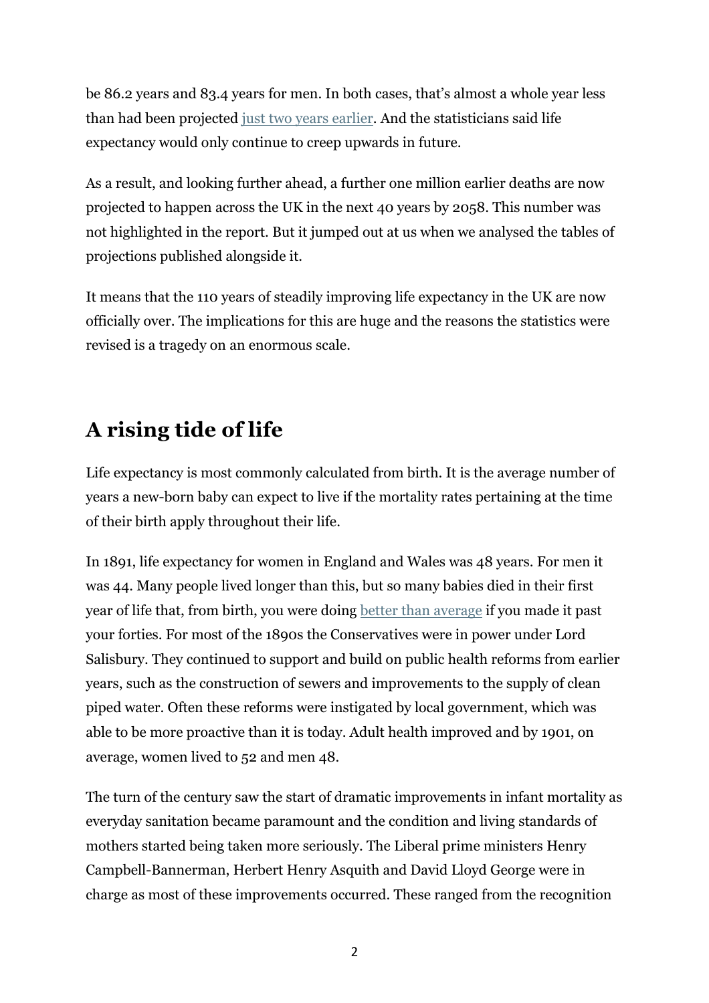be 86.2 years and 83.4 years for men. In both cases, that's almost a whole year less than had been projected just two years earlier. And the statisticians said life expectancy would only continue to creep upwards in future.

As a result, and looking further ahead, a further one million earlier deaths are now projected to happen across the UK in the next 40 years by 2058. This number was not highlighted in the report. But it jumped out at us when we analysed the tables of projections published alongside it.

It means that the 110 years of steadily improving life expectancy in the UK are now officially over. The implications for this are huge and the reasons the statistics were revised is a tragedy on an enormous scale.

# **A rising tide of life**

Life expectancy is most commonly calculated from birth. It is the average number of years a new-born baby can expect to live if the mortality rates pertaining at the time of their birth apply throughout their life.

In 1891, life expectancy for women in England and Wales was 48 years. For men it was 44. Many people lived longer than this, but so many babies died in their first year of life that, from birth, you were doing better than average if you made it past your forties. For most of the 1890s the Conservatives were in power under Lord Salisbury. They continued to support and build on public health reforms from earlier years, such as the construction of sewers and improvements to the supply of clean piped water. Often these reforms were instigated by local government, which was able to be more proactive than it is today. Adult health improved and by 1901, on average, women lived to 52 and men 48.

The turn of the century saw the start of dramatic improvements in infant mortality as everyday sanitation became paramount and the condition and living standards of mothers started being taken more seriously. The Liberal prime ministers Henry Campbell-Bannerman, Herbert Henry Asquith and David Lloyd George were in charge as most of these improvements occurred. These ranged from the recognition

2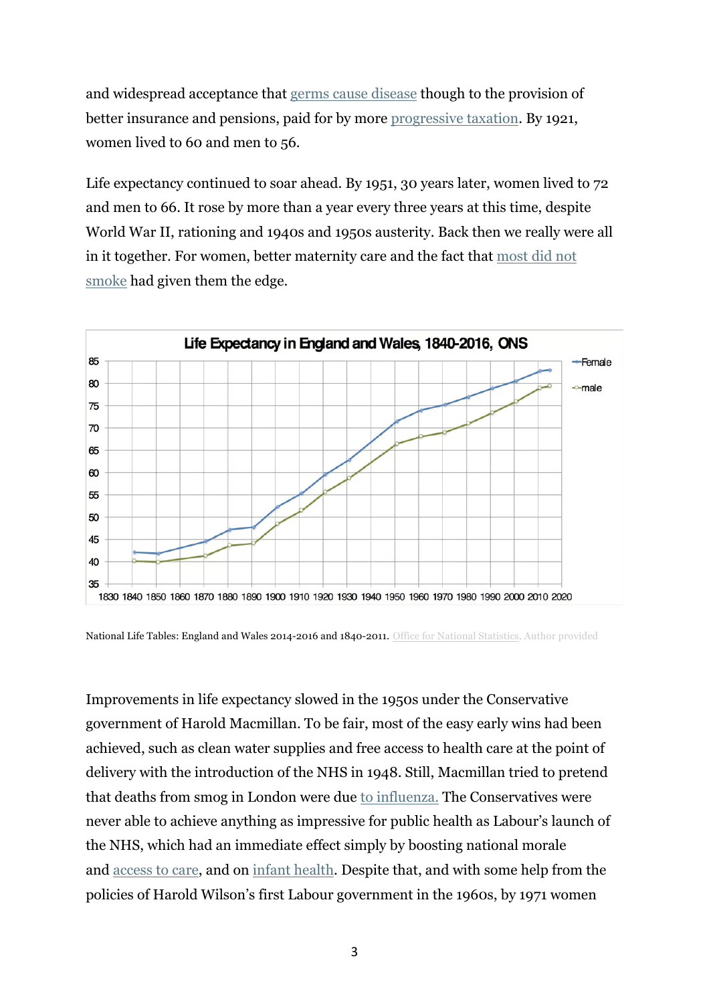and widespread acceptance that germs cause disease though to the provision of better insurance and pensions, paid for by more progressive taxation. By 1921, women lived to 60 and men to 56.

Life expectancy continued to soar ahead. By 1951, 30 years later, women lived to 72 and men to 66. It rose by more than a year every three years at this time, despite World War II, rationing and 1940s and 1950s austerity. Back then we really were all in it together. For women, better maternity care and the fact that most did not smoke had given them the edge.



National Life Tables: England and Wales 2014-2016 and 1840-2011. Office for National Statistics, Author provided

Improvements in life expectancy slowed in the 1950s under the Conservative government of Harold Macmillan. To be fair, most of the easy early wins had been achieved, such as clean water supplies and free access to health care at the point of delivery with the introduction of the NHS in 1948. Still, Macmillan tried to pretend that deaths from smog in London were due to influenza. The Conservatives were never able to achieve anything as impressive for public health as Labour's launch of the NHS, which had an immediate effect simply by boosting national morale and access to care, and on infant health. Despite that, and with some help from the policies of Harold Wilson's first Labour government in the 1960s, by 1971 women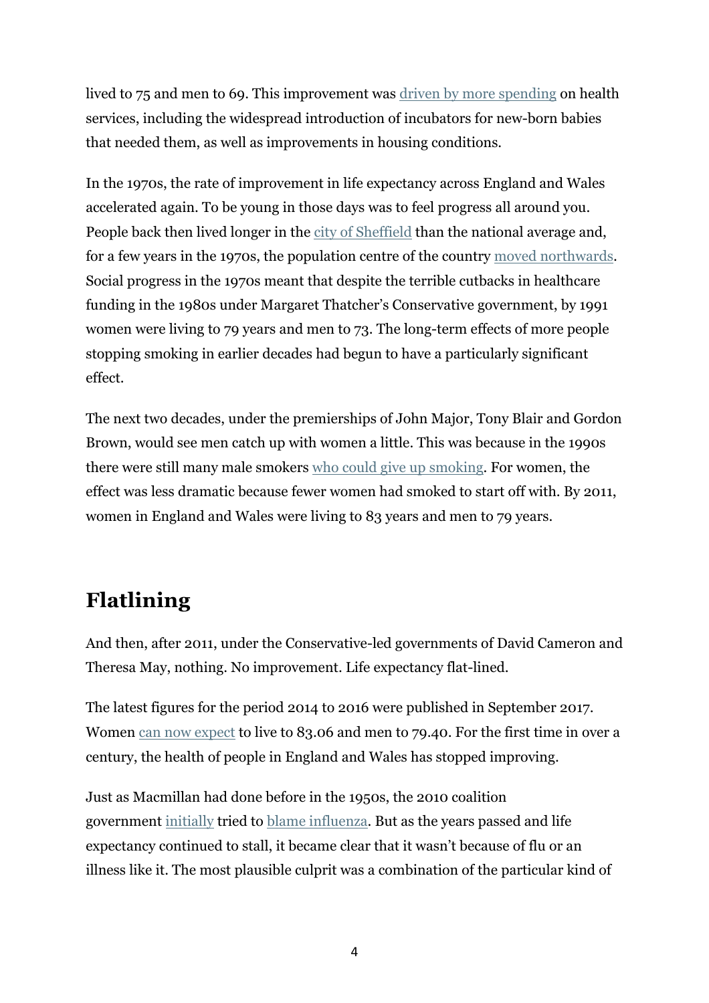lived to 75 and men to 69. This improvement was driven by more spending on health services, including the widespread introduction of incubators for new-born babies that needed them, as well as improvements in housing conditions.

In the 1970s, the rate of improvement in life expectancy across England and Wales accelerated again. To be young in those days was to feel progress all around you. People back then lived longer in the city of Sheffield than the national average and, for a few years in the 1970s, the population centre of the country moved northwards. Social progress in the 1970s meant that despite the terrible cutbacks in healthcare funding in the 1980s under Margaret Thatcher's Conservative government, by 1991 women were living to 79 years and men to 73. The long-term effects of more people stopping smoking in earlier decades had begun to have a particularly significant effect.

The next two decades, under the premierships of John Major, Tony Blair and Gordon Brown, would see men catch up with women a little. This was because in the 1990s there were still many male smokers who could give up smoking. For women, the effect was less dramatic because fewer women had smoked to start off with. By 2011, women in England and Wales were living to 83 years and men to 79 years.

## **Flatlining**

And then, after 2011, under the Conservative-led governments of David Cameron and Theresa May, nothing. No improvement. Life expectancy flat-lined.

The latest figures for the period 2014 to 2016 were published in September 2017. Women can now expect to live to 83.06 and men to 79.40. For the first time in over a century, the health of people in England and Wales has stopped improving.

Just as Macmillan had done before in the 1950s, the 2010 coalition government initially tried to blame influenza. But as the years passed and life expectancy continued to stall, it became clear that it wasn't because of flu or an illness like it. The most plausible culprit was a combination of the particular kind of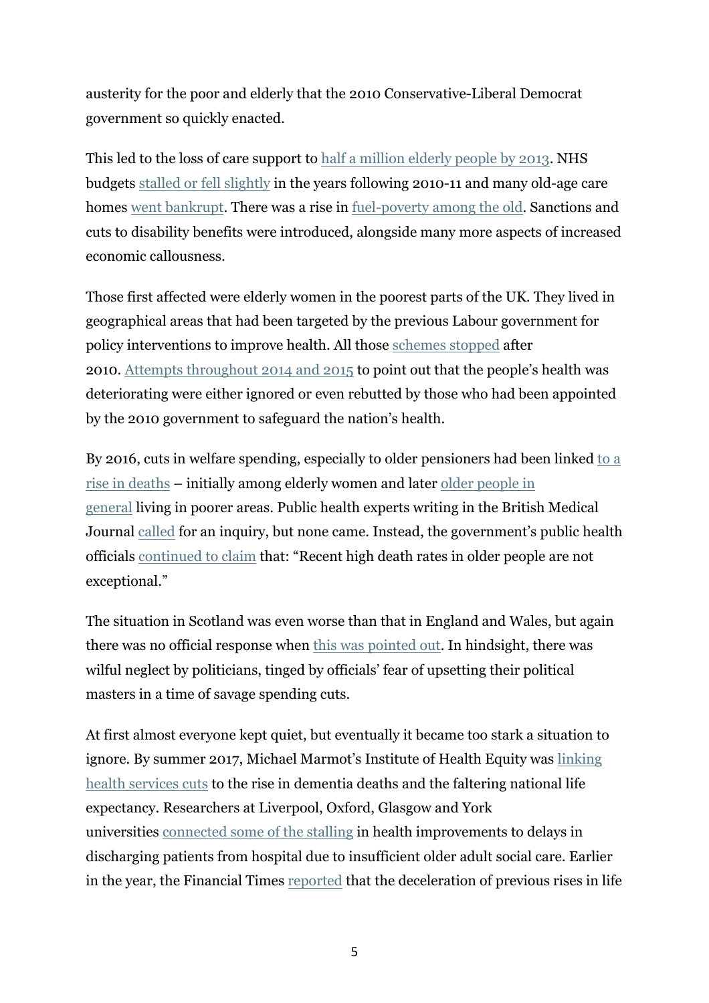austerity for the poor and elderly that the 2010 Conservative-Liberal Democrat government so quickly enacted.

This led to the loss of care support to half a million elderly people by 2013. NHS budgets stalled or fell slightly in the years following 2010-11 and many old-age care homes went bankrupt. There was a rise in fuel-poverty among the old. Sanctions and cuts to disability benefits were introduced, alongside many more aspects of increased economic callousness.

Those first affected were elderly women in the poorest parts of the UK. They lived in geographical areas that had been targeted by the previous Labour government for policy interventions to improve health. All those schemes stopped after 2010. Attempts throughout 2014 and 2015 to point out that the people's health was deteriorating were either ignored or even rebutted by those who had been appointed by the 2010 government to safeguard the nation's health.

By 2016, cuts in welfare spending, especially to older pensioners had been linked to a rise in deaths – initially among elderly women and later older people in general living in poorer areas. Public health experts writing in the British Medical Journal called for an inquiry, but none came. Instead, the government's public health officials continued to claim that: "Recent high death rates in older people are not exceptional."

The situation in Scotland was even worse than that in England and Wales, but again there was no official response when this was pointed out. In hindsight, there was wilful neglect by politicians, tinged by officials' fear of upsetting their political masters in a time of savage spending cuts.

At first almost everyone kept quiet, but eventually it became too stark a situation to ignore. By summer 2017, Michael Marmot's Institute of Health Equity was linking health services cuts to the rise in dementia deaths and the faltering national life expectancy. Researchers at Liverpool, Oxford, Glasgow and York universities connected some of the stalling in health improvements to delays in discharging patients from hospital due to insufficient older adult social care. Earlier in the year, the Financial Times reported that the deceleration of previous rises in life

5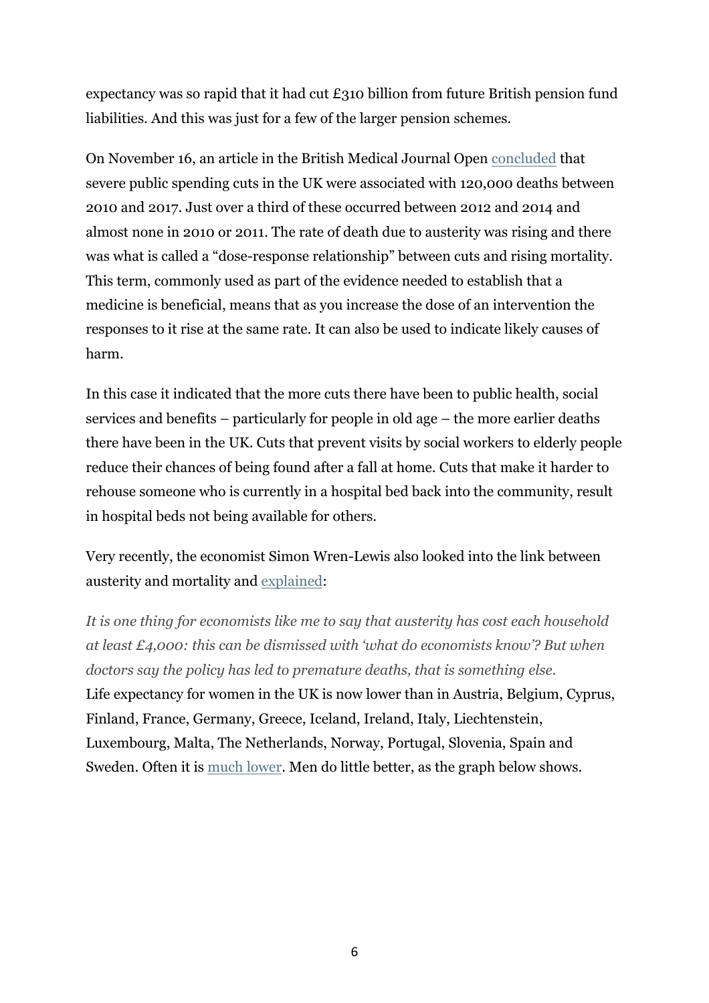expectancy was so rapid that it had cut  $\pounds$ 310 billion from future British pension fund liabilities. And this was just for a few of the larger pension schemes.

On November 16, an article in the British Medical Journal Open concluded that severe public spending cuts in the UK were associated with 120,000 deaths between 2010 and 2017. Just over a third of these occurred between 2012 and 2014 and almost none in 2010 or 2011. The rate of death due to austerity was rising and there was what is called a "dose-response relationship" between cuts and rising mortality. This term, commonly used as part of the evidence needed to establish that a medicine is beneficial, means that as you increase the dose of an intervention the responses to it rise at the same rate. It can also be used to indicate likely causes of harm.

In this case it indicated that the more cuts there have been to public health, social services and benefits – particularly for people in old age – the more earlier deaths there have been in the UK. Cuts that prevent visits by social workers to elderly people reduce their chances of being found after a fall at home. Cuts that make it harder to rehouse someone who is currently in a hospital bed back into the community, result in hospital beds not being available for others.

Very recently, the economist Simon Wren-Lewis also looked into the link between austerity and mortality and explained:

*It is one thing for economists like me to say that austerity has cost each household at least £4,000: this can be dismissed with 'what do economists know'? But when doctors say the policy has led to premature deaths, that is something else.* Life expectancy for women in the UK is now lower than in Austria, Belgium, Cyprus, Finland, France, Germany, Greece, Iceland, Ireland, Italy, Liechtenstein, Luxembourg, Malta, The Netherlands, Norway, Portugal, Slovenia, Spain and Sweden. Often it is much lower. Men do little better, as the graph below shows.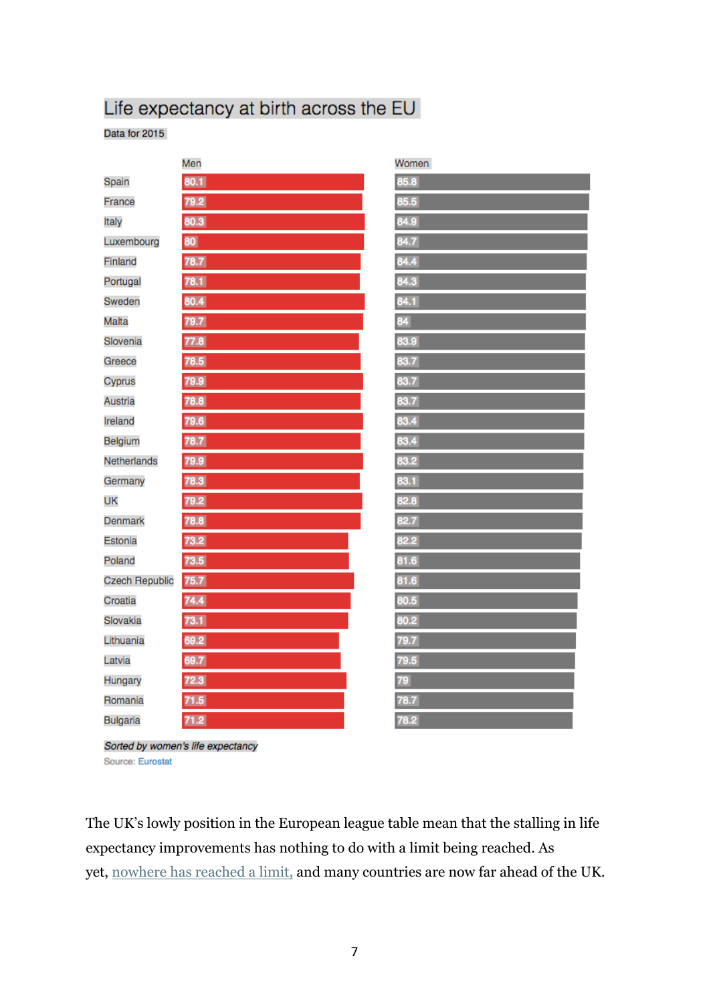#### Life expectancy at birth across the EU

Data for 2015

|                       | Men  | Women |
|-----------------------|------|-------|
| Spain                 | 80.1 | 85.8  |
| France                | 79.2 | 85.5  |
| Italy                 | 80.3 | 84.9  |
| Luxembourg            | 80   | 84.7  |
| Finland               | 78.7 | 84.4  |
| Portugal              | 78.1 | 84.3  |
| Sweden                | 80.4 | 84.1  |
| Malta                 | 79.7 | 84    |
| Slovenia              | 77.8 | 83.9  |
| Greece                | 78.5 | 83.7  |
| Cyprus                | 79.9 | 83.7  |
| Austria               | 78.8 | 83.7  |
| Ireland               | 79.6 | 83.4  |
| Belgium               | 78.7 | 83.4  |
| Netherlands           | 79.9 | 83.2  |
| Germany               | 78.3 | 83.1  |
| UK                    | 79.2 | 82.8  |
| Denmark               | 78.8 | 82.7  |
| Estonia               | 73.2 | 82.2  |
| Poland                | 73.5 | 81.6  |
| <b>Czech Republic</b> | 75.7 | 81.6  |
| Croatia               | 74.4 | 80.5  |
| Slovakia              | 73.1 | 80.2  |
| Lithuania             | 69.2 | 79.7  |
| Latvia                | 69.7 | 79.5  |
| Hungary               | 72.3 | 79    |
| Romania               | 71.5 | 78.7  |
| <b>Bulgaria</b>       | 71.2 | 78.2  |
|                       |      |       |

Sorted by women's life expectancy Source: Eurostat

The UK's lowly position in the European league table mean that the stalling in life expectancy improvements has nothing to do with a limit being reached. As yet, nowhere has reached a limit, and many countries are now far ahead of the UK.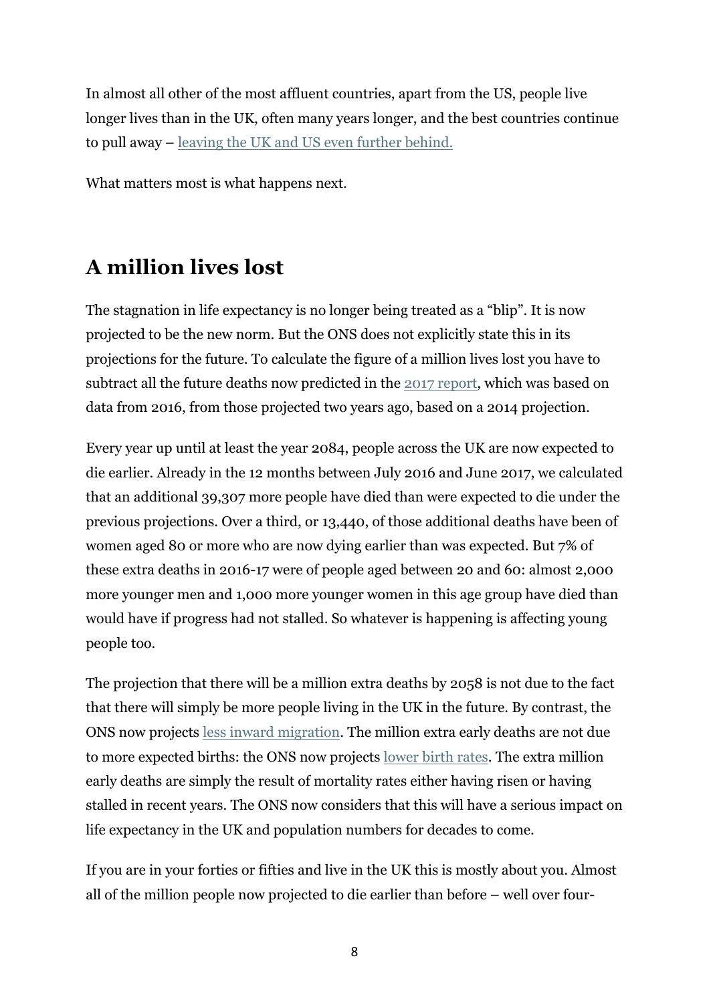In almost all other of the most affluent countries, apart from the US, people live longer lives than in the UK, often many years longer, and the best countries continue to pull away – leaving the UK and US even further behind.

What matters most is what happens next.

### **A million lives lost**

The stagnation in life expectancy is no longer being treated as a "blip". It is now projected to be the new norm. But the ONS does not explicitly state this in its projections for the future. To calculate the figure of a million lives lost you have to subtract all the future deaths now predicted in the 2017 report, which was based on data from 2016, from those projected two years ago, based on a 2014 projection.

Every year up until at least the year 2084, people across the UK are now expected to die earlier. Already in the 12 months between July 2016 and June 2017, we calculated that an additional 39,307 more people have died than were expected to die under the previous projections. Over a third, or 13,440, of those additional deaths have been of women aged 80 or more who are now dying earlier than was expected. But 7% of these extra deaths in 2016-17 were of people aged between 20 and 60: almost 2,000 more younger men and 1,000 more younger women in this age group have died than would have if progress had not stalled. So whatever is happening is affecting young people too.

The projection that there will be a million extra deaths by 2058 is not due to the fact that there will simply be more people living in the UK in the future. By contrast, the ONS now projects less inward migration. The million extra early deaths are not due to more expected births: the ONS now projects lower birth rates. The extra million early deaths are simply the result of mortality rates either having risen or having stalled in recent years. The ONS now considers that this will have a serious impact on life expectancy in the UK and population numbers for decades to come.

If you are in your forties or fifties and live in the UK this is mostly about you. Almost all of the million people now projected to die earlier than before – well over four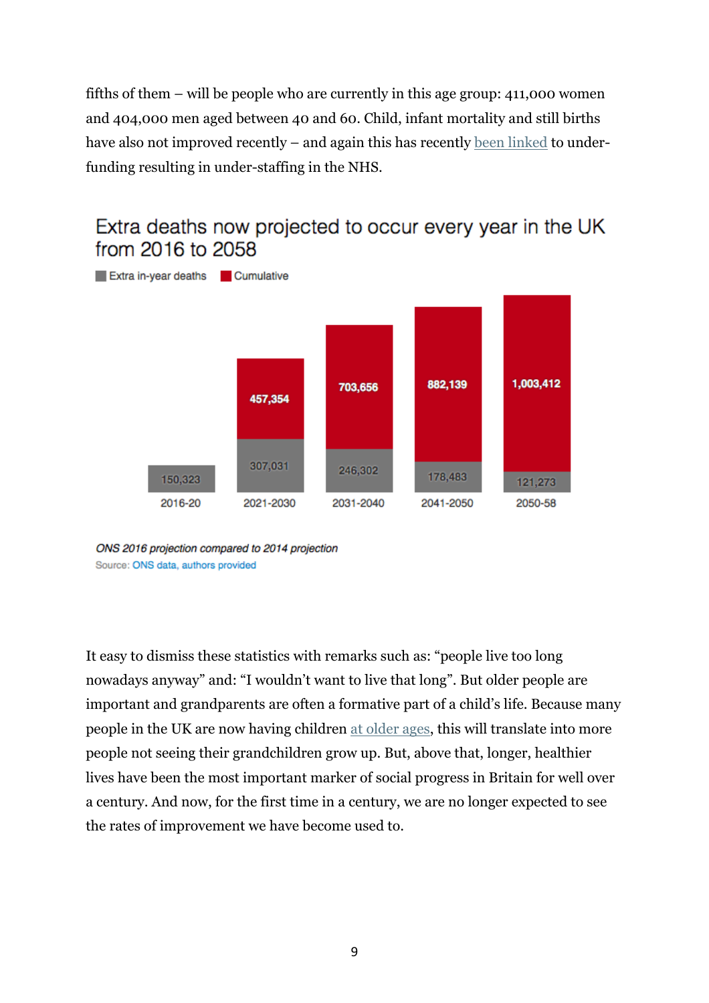fifths of them – will be people who are currently in this age group: 411,000 women and 404,000 men aged between 40 and 60. Child, infant mortality and still births have also not improved recently – and again this has recently been linked to underfunding resulting in under-staffing in the NHS.

#### Extra deaths now projected to occur every year in the UK from 2016 to 2058



ONS 2016 projection compared to 2014 projection Source: ONS data, authors provided

It easy to dismiss these statistics with remarks such as: "people live too long nowadays anyway" and: "I wouldn't want to live that long". But older people are important and grandparents are often a formative part of a child's life. Because many people in the UK are now having children at older ages, this will translate into more people not seeing their grandchildren grow up. But, above that, longer, healthier lives have been the most important marker of social progress in Britain for well over a century. And now, for the first time in a century, we are no longer expected to see the rates of improvement we have become used to.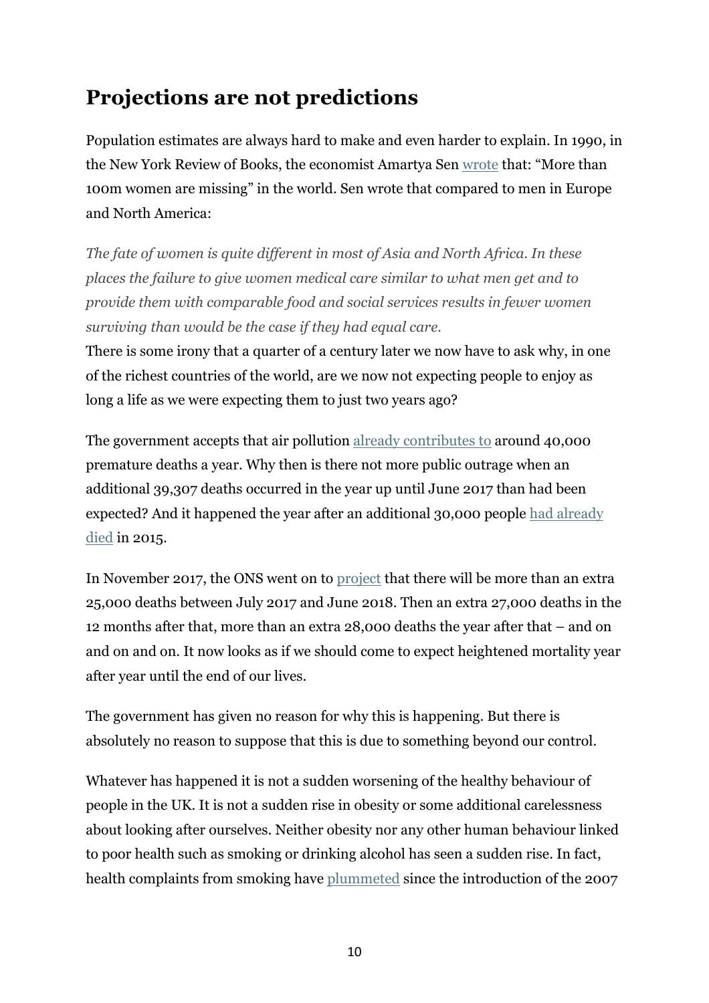## **Projections are not predictions**

Population estimates are always hard to make and even harder to explain. In 1990, in the New York Review of Books, the economist Amartya Sen wrote that: "More than 100m women are missing" in the world. Sen wrote that compared to men in Europe and North America:

*The fate of women is quite different in most of Asia and North Africa. In these places the failure to give women medical care similar to what men get and to provide them with comparable food and social services results in fewer women surviving than would be the case if they had equal care.*

There is some irony that a quarter of a century later we now have to ask why, in one of the richest countries of the world, are we now not expecting people to enjoy as long a life as we were expecting them to just two years ago?

The government accepts that air pollution already contributes to around 40,000 premature deaths a year. Why then is there not more public outrage when an additional 39,307 deaths occurred in the year up until June 2017 than had been expected? And it happened the year after an additional 30,000 people had already died in 2015.

In November 2017, the ONS went on to project that there will be more than an extra 25,000 deaths between July 2017 and June 2018. Then an extra 27,000 deaths in the 12 months after that, more than an extra 28,000 deaths the year after that – and on and on and on. It now looks as if we should come to expect heightened mortality year after year until the end of our lives.

The government has given no reason for why this is happening. But there is absolutely no reason to suppose that this is due to something beyond our control.

Whatever has happened it is not a sudden worsening of the healthy behaviour of people in the UK. It is not a sudden rise in obesity or some additional carelessness about looking after ourselves. Neither obesity nor any other human behaviour linked to poor health such as smoking or drinking alcohol has seen a sudden rise. In fact, health complaints from smoking have plummeted since the introduction of the 2007